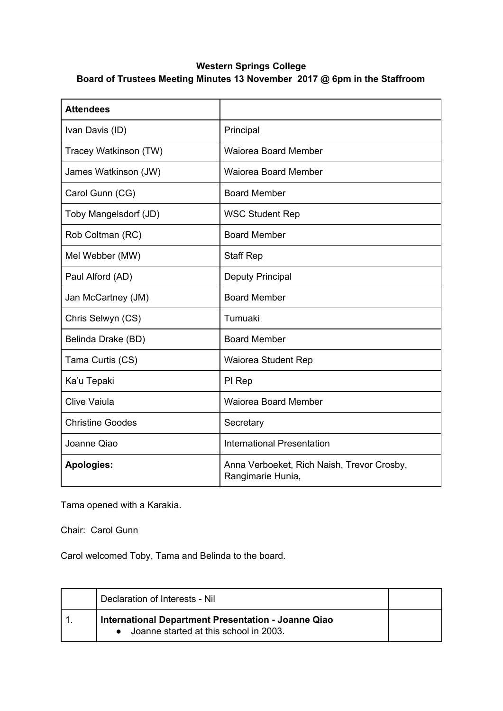## **Western Springs College Board of Trustees Meeting Minutes 13 November 2017 @ 6pm in the Staffroom**

| <b>Attendees</b>        |                                                                 |
|-------------------------|-----------------------------------------------------------------|
| Ivan Davis (ID)         | Principal                                                       |
| Tracey Watkinson (TW)   | <b>Waiorea Board Member</b>                                     |
| James Watkinson (JW)    | <b>Waiorea Board Member</b>                                     |
| Carol Gunn (CG)         | <b>Board Member</b>                                             |
| Toby Mangelsdorf (JD)   | <b>WSC Student Rep</b>                                          |
| Rob Coltman (RC)        | <b>Board Member</b>                                             |
| Mel Webber (MW)         | <b>Staff Rep</b>                                                |
| Paul Alford (AD)        | <b>Deputy Principal</b>                                         |
| Jan McCartney (JM)      | <b>Board Member</b>                                             |
| Chris Selwyn (CS)       | Tumuaki                                                         |
| Belinda Drake (BD)      | <b>Board Member</b>                                             |
| Tama Curtis (CS)        | <b>Waiorea Student Rep</b>                                      |
| Ka'u Tepaki             | PI Rep                                                          |
| <b>Clive Vaiula</b>     | Waiorea Board Member                                            |
| <b>Christine Goodes</b> | Secretary                                                       |
| Joanne Qiao             | <b>International Presentation</b>                               |
| <b>Apologies:</b>       | Anna Verboeket, Rich Naish, Trevor Crosby,<br>Rangimarie Hunia, |

Tama opened with a Karakia.

Chair: Carol Gunn

Carol welcomed Toby, Tama and Belinda to the board.

| Declaration of Interests - Nil                                                                  |  |
|-------------------------------------------------------------------------------------------------|--|
| International Department Presentation - Joanne Qiao<br>• Joanne started at this school in 2003. |  |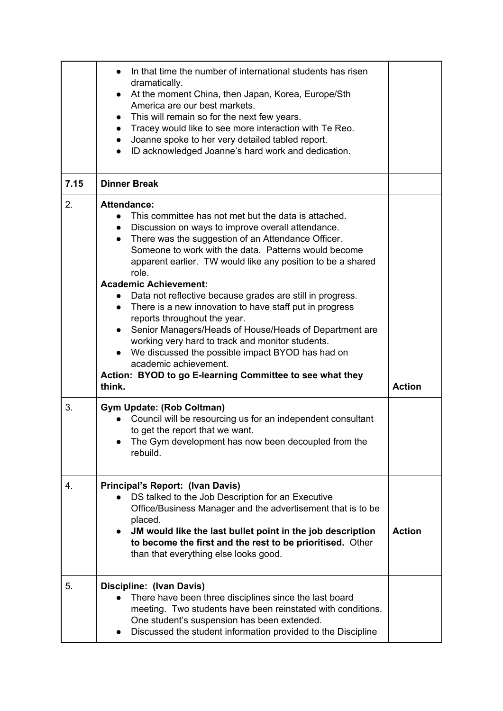|      | In that time the number of international students has risen<br>dramatically.<br>At the moment China, then Japan, Korea, Europe/Sth<br>$\bullet$<br>America are our best markets.<br>This will remain so for the next few years.<br>Tracey would like to see more interaction with Te Reo.<br>$\bullet$<br>Joanne spoke to her very detailed tabled report.<br>$\bullet$<br>ID acknowledged Joanne's hard work and dedication.<br>$\bullet$                                                                                                                                                                                                                                                                                                                                                               |               |
|------|----------------------------------------------------------------------------------------------------------------------------------------------------------------------------------------------------------------------------------------------------------------------------------------------------------------------------------------------------------------------------------------------------------------------------------------------------------------------------------------------------------------------------------------------------------------------------------------------------------------------------------------------------------------------------------------------------------------------------------------------------------------------------------------------------------|---------------|
| 7.15 | <b>Dinner Break</b>                                                                                                                                                                                                                                                                                                                                                                                                                                                                                                                                                                                                                                                                                                                                                                                      |               |
| 2.   | <b>Attendance:</b><br>This committee has not met but the data is attached.<br>Discussion on ways to improve overall attendance.<br>$\bullet$<br>There was the suggestion of an Attendance Officer.<br>Someone to work with the data. Patterns would become<br>apparent earlier. TW would like any position to be a shared<br>role.<br><b>Academic Achievement:</b><br>Data not reflective because grades are still in progress.<br>There is a new innovation to have staff put in progress<br>$\bullet$<br>reports throughout the year.<br>Senior Managers/Heads of House/Heads of Department are<br>working very hard to track and monitor students.<br>We discussed the possible impact BYOD has had on<br>academic achievement.<br>Action: BYOD to go E-learning Committee to see what they<br>think. | <b>Action</b> |
| 3.   | Gym Update: (Rob Coltman)<br>Council will be resourcing us for an independent consultant<br>to get the report that we want.<br>The Gym development has now been decoupled from the<br>rebuild.                                                                                                                                                                                                                                                                                                                                                                                                                                                                                                                                                                                                           |               |
| 4.   | Principal's Report: (Ivan Davis)<br>DS talked to the Job Description for an Executive<br>Office/Business Manager and the advertisement that is to be<br>placed.<br>JM would like the last bullet point in the job description<br>to become the first and the rest to be prioritised. Other<br>than that everything else looks good.                                                                                                                                                                                                                                                                                                                                                                                                                                                                      | <b>Action</b> |
| 5.   | Discipline: (Ivan Davis)<br>There have been three disciplines since the last board<br>meeting. Two students have been reinstated with conditions.<br>One student's suspension has been extended.<br>Discussed the student information provided to the Discipline                                                                                                                                                                                                                                                                                                                                                                                                                                                                                                                                         |               |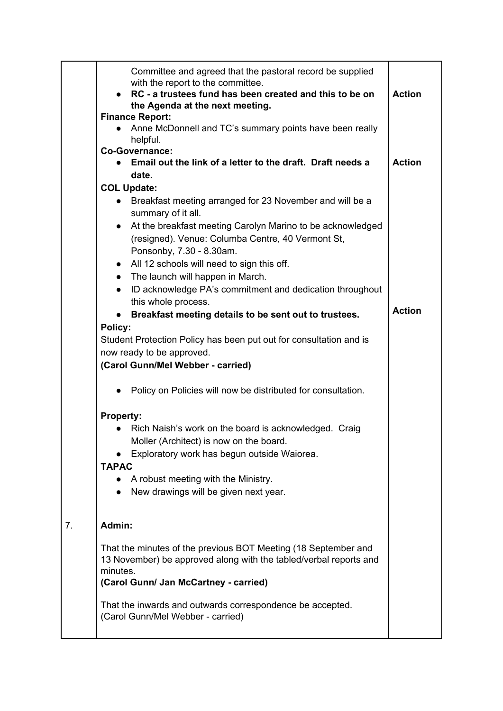|    | Committee and agreed that the pastoral record be supplied<br>with the report to the committee.<br>• RC - a trustees fund has been created and this to be on<br>the Agenda at the next meeting.<br><b>Finance Report:</b><br>Anne McDonnell and TC's summary points have been really<br>helpful.<br><b>Co-Governance:</b><br>Email out the link of a letter to the draft. Draft needs a | <b>Action</b><br><b>Action</b> |
|----|----------------------------------------------------------------------------------------------------------------------------------------------------------------------------------------------------------------------------------------------------------------------------------------------------------------------------------------------------------------------------------------|--------------------------------|
|    | date.                                                                                                                                                                                                                                                                                                                                                                                  |                                |
|    | <b>COL Update:</b>                                                                                                                                                                                                                                                                                                                                                                     |                                |
|    | Breakfast meeting arranged for 23 November and will be a<br>$\bullet$                                                                                                                                                                                                                                                                                                                  |                                |
|    | summary of it all.                                                                                                                                                                                                                                                                                                                                                                     |                                |
|    | At the breakfast meeting Carolyn Marino to be acknowledged<br>$\bullet$<br>(resigned). Venue: Columba Centre, 40 Vermont St,<br>Ponsonby, 7.30 - 8.30am.                                                                                                                                                                                                                               |                                |
|    | All 12 schools will need to sign this off.<br>$\bullet$                                                                                                                                                                                                                                                                                                                                |                                |
|    | The launch will happen in March.<br>$\bullet$                                                                                                                                                                                                                                                                                                                                          |                                |
|    | ID acknowledge PA's commitment and dedication throughout<br>$\bullet$<br>this whole process.                                                                                                                                                                                                                                                                                           |                                |
|    | Breakfast meeting details to be sent out to trustees.                                                                                                                                                                                                                                                                                                                                  | <b>Action</b>                  |
|    | Policy:                                                                                                                                                                                                                                                                                                                                                                                |                                |
|    | Student Protection Policy has been put out for consultation and is                                                                                                                                                                                                                                                                                                                     |                                |
|    | now ready to be approved.                                                                                                                                                                                                                                                                                                                                                              |                                |
|    | (Carol Gunn/Mel Webber - carried)                                                                                                                                                                                                                                                                                                                                                      |                                |
|    | Policy on Policies will now be distributed for consultation.                                                                                                                                                                                                                                                                                                                           |                                |
|    | <b>Property:</b>                                                                                                                                                                                                                                                                                                                                                                       |                                |
|    | Rich Naish's work on the board is acknowledged. Craig                                                                                                                                                                                                                                                                                                                                  |                                |
|    | Moller (Architect) is now on the board.                                                                                                                                                                                                                                                                                                                                                |                                |
|    | Exploratory work has begun outside Waiorea.                                                                                                                                                                                                                                                                                                                                            |                                |
|    | <b>TAPAC</b>                                                                                                                                                                                                                                                                                                                                                                           |                                |
|    | A robust meeting with the Ministry.<br>$\bullet$                                                                                                                                                                                                                                                                                                                                       |                                |
|    | New drawings will be given next year.                                                                                                                                                                                                                                                                                                                                                  |                                |
| 7. | Admin:                                                                                                                                                                                                                                                                                                                                                                                 |                                |
|    | That the minutes of the previous BOT Meeting (18 September and<br>13 November) be approved along with the tabled/verbal reports and<br>minutes.<br>(Carol Gunn/ Jan McCartney - carried)                                                                                                                                                                                               |                                |
|    | That the inwards and outwards correspondence be accepted.<br>(Carol Gunn/Mel Webber - carried)                                                                                                                                                                                                                                                                                         |                                |